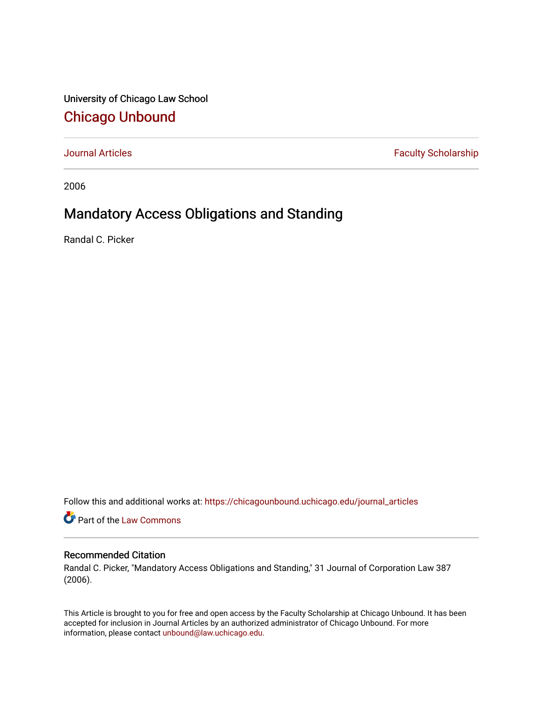University of Chicago Law School [Chicago Unbound](https://chicagounbound.uchicago.edu/)

[Journal Articles](https://chicagounbound.uchicago.edu/journal_articles) **Faculty Scholarship Faculty Scholarship** 

2006

# Mandatory Access Obligations and Standing

Randal C. Picker

Follow this and additional works at: [https://chicagounbound.uchicago.edu/journal\\_articles](https://chicagounbound.uchicago.edu/journal_articles?utm_source=chicagounbound.uchicago.edu%2Fjournal_articles%2F1710&utm_medium=PDF&utm_campaign=PDFCoverPages) 

Part of the [Law Commons](http://network.bepress.com/hgg/discipline/578?utm_source=chicagounbound.uchicago.edu%2Fjournal_articles%2F1710&utm_medium=PDF&utm_campaign=PDFCoverPages)

### Recommended Citation

Randal C. Picker, "Mandatory Access Obligations and Standing," 31 Journal of Corporation Law 387 (2006).

This Article is brought to you for free and open access by the Faculty Scholarship at Chicago Unbound. It has been accepted for inclusion in Journal Articles by an authorized administrator of Chicago Unbound. For more information, please contact [unbound@law.uchicago.edu](mailto:unbound@law.uchicago.edu).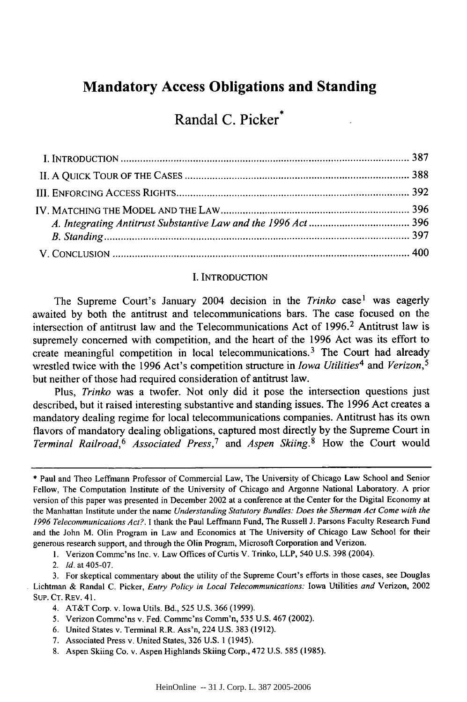### **Mandatory Access Obligations and Standing**

## Randal **C.** Picker\*

#### I. INTRODUCTION

The Supreme Court's January 2004 decision in the *Trinko* case<sup>1</sup> was eagerly awaited by both the antitrust and telecommunications bars. The case focused on the intersection of antitrust law and the Telecommunications Act of 1996.2 Antitrust law is supremely concerned with competition, and the heart of the 1996 Act was its effort to create meaningful competition in local telecommunications.<sup>3</sup> The Court had already wrestled twice with the 1996 Act's competition structure in *Iowa Utilities4* and *Verizon, <sup>5</sup>* but neither of those had required consideration of antitrust law.

Plus, *Trinko* was a twofer. Not only did it pose the intersection questions just described, but it raised interesting substantive and standing issues. The 1996 Act creates a mandatory dealing regime for local telecommunications companies. Antitrust has its own flavors of mandatory dealing obligations, captured most directly by the Supreme Court in *Terminal Railroad,6 Associated Press,7 and Aspen Skiing.8* How the Court would

**1.** Verizon Commc'ns Inc. v. Law Offices of Curtis V. Trinko, LLP, 540 U.S. 398 (2004).

2. *Id.* at 405-07.

3. For skeptical commentary about the utility of the Supreme Court's efforts in those cases, see Douglas Lichtman & Randal C. Picker, *Entry Policy in Local Telecommunications:* Iowa Utilities *and* Verizon, 2002 SuP. CT. REV. 41.

- 5. Verizon Commc'ns v. Fed. Commc'ns Comm'n, 535 U.S. 467 (2002).
- 6. United States v. Terminal R.R. Ass'n, 224 U.S. 383 (1912).
- 7. Associated Press v. United States, 326 U.S. **1** (1945).
- 8. Aspen Skiing Co. v. Aspen Highlands Skiing Corp., 472 U.S. 585 (1985).

<sup>\*</sup> Paul and Theo Leffmann Professor of Commercial Law, The University of Chicago Law School and Senior Fellow, The Computation Institute of the University of Chicago and Argonne National Laboratory. A prior version of this paper was presented in December 2002 at a conference at the Center for the Digital Economy at the Manhattan Institute under the name Understanding *Statutory Bundles: Does the Sherman Act Come with the 1996 Telecommunications Act?.* I thank the Paul Leffmann Fund, The Russell J. Parsons Faculty Research Fund and the John M. Olin Program in Law and Economics at The University of Chicago Law School for their generous research support, and through the Olin Program, Microsoft Corporation and Verizon.

<sup>4.</sup> AT&T Corp. v. Iowa Utils. Bd., 525 U.S. 366 (1999).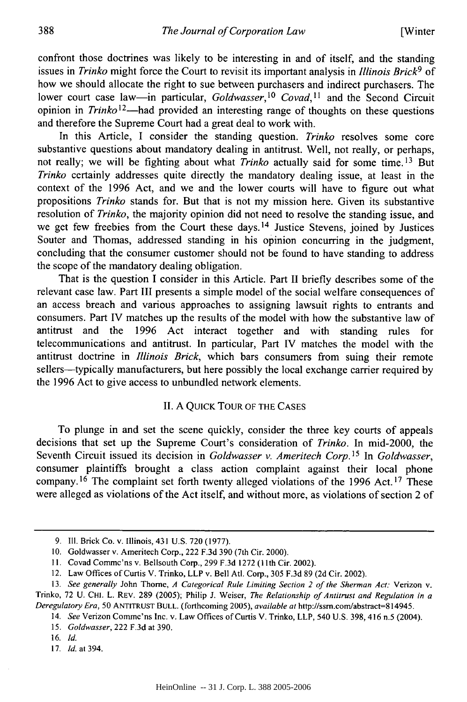confront those doctrines was likely to be interesting in and of itself, and the standing issues in *Trinko* might force the Court to revisit its important analysis in *Illinois Brick9* of how we should allocate the right to sue between purchasers and indirect purchasers. The lower court case law-in particular, *Goldwasser*,<sup>10</sup> Covad,<sup>11</sup> and the Second Circuit opinion in *Trinko*<sup>12</sup>—had provided an interesting range of thoughts on these questions and therefore the Supreme Court had a great deal to work with.

In this Article, I consider the standing question. *Trinko* resolves some core substantive questions about mandatory dealing in antitrust. Well, not really, or perhaps, not really; we will be fighting about what *Trinko* actually said for some time. 13 But *Trinko* certainly addresses quite directly the mandatory dealing issue, at least in the context of the 1996 Act, and we and the lower courts will have to figure out what propositions *Trinko* stands for. But that is not my mission here. Given its substantive resolution of *Trinko,* the majority opinion did not need to resolve the standing issue, and we get few freebies from the Court these days.<sup>14</sup> Justice Stevens, joined by Justices Souter and Thomas, addressed standing in his opinion concurring in the judgment, concluding that the consumer customer should not be found to have standing to address the scope of the mandatory dealing obligation.

That is the question I consider in this Article. Part II briefly describes some of the relevant case law. Part III presents a simple model of the social welfare consequences of an access breach and various approaches to assigning lawsuit rights to entrants and consumers. Part IV matches up the results of the model with how the substantive law of antitrust and the 1996 Act interact together and with standing rules for telecommunications and antitrust. In particular, Part **IV** matches the model with the antitrust doctrine in *Illinois Brick,* which bars consumers from suing their remote sellers-typically manufacturers, but here possibly the local exchange carrier required by the 1996 Act to give access to unbundled network elements.

#### II. A QUICK TOUR OF THE CASES

To plunge in and set the scene quickly, consider the three key courts of appeals decisions that set up the Supreme Court's consideration of *Trinko.* In mid-2000, the Seventh Circuit issued its decision in *Goldwasser v. Ameritech Corp. 15 In Goldwasser,* consumer plaintiffs brought a class action complaint against their local phone company.<sup>16</sup> The complaint set forth twenty alleged violations of the 1996 Act.<sup>17</sup> These were alleged as violations of the Act itself, and without more, as violations of section 2 of

**17. Id.** at 394.

<sup>9.</sup> Ill. Brick Co. v. Illinois, 431 U.S. 720 (1977).

<sup>10.</sup> Goldwasser v. Ameritech Corp., 222 F.3d 390 (7th Cir. 2000).

<sup>11.</sup> Covad Commc'ns v. Bellsouth Corp., 299 F.3d 1272 (11th Cir. 2002).

<sup>12.</sup> Law Offices of Curtis V. Trinko, LLP v. Bell Atl. Corp., 305 F.3d 89 (2d Cir. 2002).

<sup>13.</sup> See generally John Thorne, *A Categorical Rule Limiting Section 2 of the Sherman Act:* Verizon v. Trinko, 72 U. CHI. L. REV. 289 (2005); Philip J. Weiser, *The Relationship of Antitrust and Regulation in a Deregulatory Era,* 50 **ANTITRUST BULL.** (forthcoming 2005), *available at* http://ssm.com/abstract-814945.

<sup>14.</sup> *See* Verizon Commc'ns Inc. v. Law Offices of Curtis V. Trinko, LLP, 540 U.S. 398, 416 n.5 (2004).

<sup>15.</sup> *Goldwasser,* 222 F.3d at 390.

<sup>16.</sup> *Id.*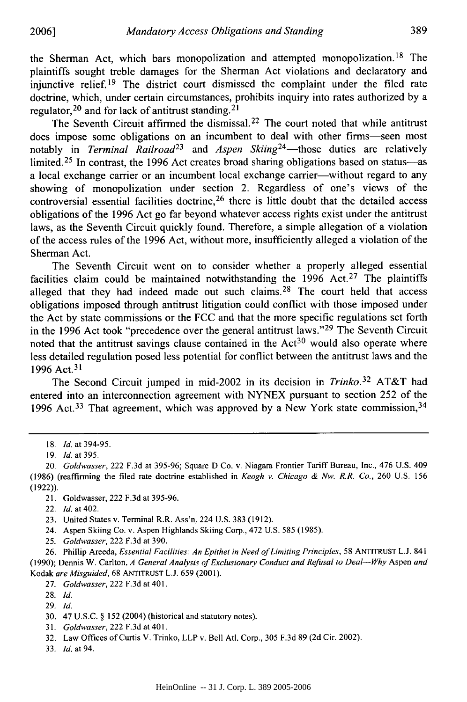the Sherman Act, which bars monopolization and attempted monopolization. 18 The plaintiffs sought treble damages for the Sherman Act violations and declaratory and injunctive relief.19 The district court dismissed the complaint under the filed rate doctrine, which, under certain circumstances, prohibits inquiry into rates authorized by a regulator,  $^{20}$  and for lack of antitrust standing.<sup>2</sup>

The Seventh Circuit affirmed the dismissal.<sup>22</sup> The court noted that while antitrust does impose some obligations on an incumbent to deal with other firms-seen most notably in *Terminal Railroad*<sup>23</sup> and *Aspen Skiing*<sup>24</sup>—those duties are relatively limited.<sup>25</sup> In contrast, the 1996 Act creates broad sharing obligations based on status-as a local exchange carrier or an incumbent local exchange carrier-without regard to any showing of monopolization under section 2. Regardless of one's views of the controversial essential facilities doctrine,<sup>26</sup> there is little doubt that the detailed access obligations of the 1996 Act go far beyond whatever access rights exist under the antitrust laws, as the Seventh Circuit quickly found. Therefore, a simple allegation of a violation of the access rules of the 1996 Act, without more, insufficiently alleged a violation of the Sherman Act.

The Seventh Circuit went on to consider whether a properly alleged essential facilities claim could be maintained notwithstanding the  $1996$  Act.<sup>27</sup> The plaintiffs alleged that they had indeed made out such claims.<sup>28</sup> The court held that access obligations imposed through antitrust litigation could conflict with those imposed under the Act by state commissions or the FCC and that the more specific regulations set forth in the 1996 Act took "precedence over the general antitrust laws." 29 The Seventh Circuit noted that the antitrust savings clause contained in the  $Act<sup>30</sup>$  would also operate where less detailed regulation posed less potential for conflict between the antitrust laws and the 1996 Act.<sup>31</sup>

The Second Circuit jumped in mid-2002 in its decision in *Trinko.32* AT&T had entered into an interconnection agreement with NYNEX pursuant to section 252 of the 1996 Act.<sup>33</sup> That agreement, which was approved by a New York state commission,  $34$ 

- 21. Goldwasser, 222 F.3d at 395-96.
- 22. *Id.* at 402.
- 23. United States v. Terminal R.R. Ass'n, 224 U.S. 383 (1912).
- 24. Aspen Skiing Co. v. Aspen Highlands Skiing Corp., 472 U.S. 585 (1985).
- 25. Goldwasser, 222 F.3d at 390.

26. Phillip Areeda, *Essential Facilities: An Epithet in* Need of Limiting Principles, 58 ANTITRUST L.J. 841 (1990); Dennis W. Carlton, *A General Analysis of Exclusionary Conduct and Refusal to Deal-Why* Aspen *and* Kodak are Misguided, 68 **ANTITRUST** L.J. 659 (2001).

- 27. Goldwasser, 222 F.3d at 401.
- 28. **Id.**
- 29. *Id.*

31. *Goldwasser,* 222 F.3d at 401.

33. Id. at 94.

<sup>18.</sup> **Id.** at 394-95.

<sup>19.</sup> *Id.* at 395.

<sup>20.</sup> Goldwasser, 222 F.3d at 395-96; Square D Co. v. Niagara Frontier Tariff Bureau, Inc., 476 U.S. 409 (1986) (reaffirming the filed rate doctrine established in Keogh v. Chicago *& Nw. R.R. Co.,* 260 U.S. 156 (1922)).

<sup>30. 47</sup> U.S.C. § 152 (2004) (historical and statutory notes).

<sup>32.</sup> Law Offices of Curtis V. Trinko, LLP v. Bell Atl. Corp., 305 F.3d 89 (2d Cir. 2002).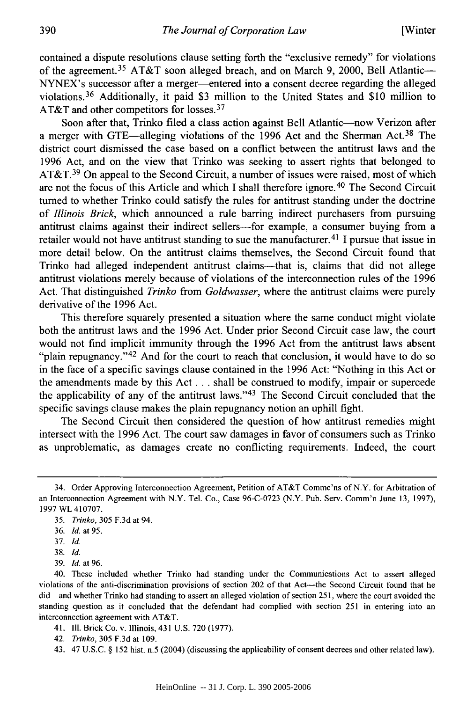contained a dispute resolutions clause setting forth the "exclusive remedy" for violations of the agreement.<sup>35</sup> AT&T soon alleged breach, and on March 9, 2000, Bell Atlantic-NYNEX's successor after a merger-entered into a consent decree regarding the alleged violations. 36 Additionally, it paid \$3 million to the United States and \$10 million to AT&T and other competitors for losses.<sup>37</sup>

Soon after that, Trinko filed a class action against Bell Atlantic-now Verizon after a merger with GTE-alleging violations of the 1996 Act and the Sherman Act.<sup>38</sup> The district court dismissed the case based on a conflict between the antitrust laws and the 1996 Act, and on the view that Trinko was seeking to assert rights that belonged to AT&T. 39 On appeal to the Second Circuit, a number of issues were raised, most of which are not the focus of this Article and which I shall therefore ignore. 40 The Second Circuit turned to whether Trinko could satisfy the rules for antitrust standing under the doctrine of *Illinois Brick,* which announced a rule barring indirect purchasers from pursuing antitrust claims against their indirect sellers-for example, a consumer buying from a retailer would not have antitrust standing to sue the manufacturer.<sup>41</sup> I pursue that issue in more detail below. On the antitrust claims themselves, the Second Circuit found that Trinko had alleged independent antitrust claims-that is, claims that did not allege antitrust violations merely because of violations of the interconnection rules of the 1996 Act. That distinguished *Trinko* from *Goldwasser,* where the antitrust claims were purely derivative of the 1996 Act.

This therefore squarely presented a situation where the same conduct might violate both the antitrust laws and the 1996 Act. Under prior Second Circuit case law, the court would not find implicit immunity through the 1996 Act from the antitrust laws absent "plain repugnancy."<sup>42</sup> And for the court to reach that conclusion, it would have to do so in the face of a specific savings clause contained in the 1996 Act: "Nothing in this Act or the amendments made by this Act **...** shall be construed to modify, impair or supercede the applicability of any of the antitrust laws. $143$  The Second Circuit concluded that the specific savings clause makes the plain repugnancy notion an uphill fight.

The Second Circuit then considered the question of how antitrust remedies might intersect with the 1996 Act. The court saw damages in favor of consumers such as Trinko as unproblematic, as damages create no conflicting requirements. Indeed, the court

<sup>34.</sup> Order Approving Interconnection Agreement, Petition of AT&T Commc'ns of N.Y. for Arbitration of an Interconnection Agreement with N.Y. Tel. Co., Case 96-C-0723 (N.Y. Pub. Serv. Comm'n June 13, 1997), 1997 WL 410707.

<sup>35.</sup> *Trinko,* 305 F.3d at 94.

<sup>36.</sup> *Id.* at 95.

<sup>37.</sup> **Id.**

<sup>38.</sup> Id.

<sup>39.</sup> *Id.* at 96.

<sup>40.</sup> These included whether Trinko had standing under the Communications Act to assert alleged violations of the anti-discrimination provisions of section 202 of that Act-the Second Circuit found that he did-and whether Trinko had standing to assert an alleged violation of section 251, where the court avoided the standing question as it concluded that the defendant had complied with section 251 in entering into an interconnection agreement with AT&T.

<sup>41.</sup> Ill. Brick Co. v. Illinois, 431 U.S. 720 (1977).

<sup>42.</sup> *Trinko,* 305 F.3d at 109.

<sup>43. 47</sup> U.S.C. § 152 hist. n.5 (2004) (discussing the applicability of consent decrees and other related law).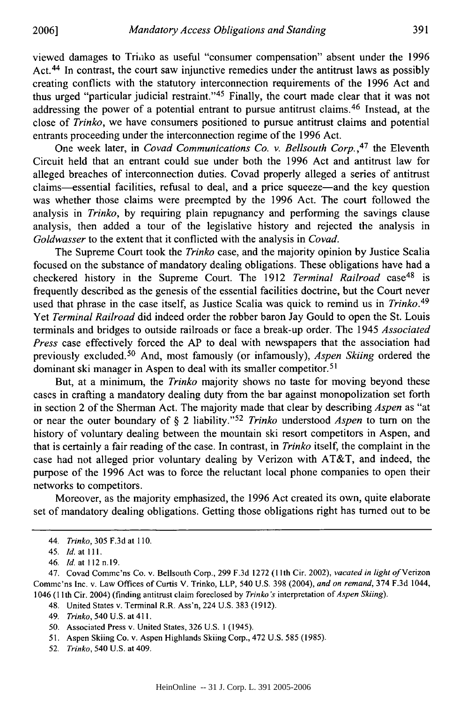viewed damages to Triako as useful "consumer compensation" absent under the 1996 Act.<sup>44</sup> In contrast, the court saw injunctive remedies under the antitrust laws as possibly creating conflicts with the statutory interconnection requirements of the 1996 Act and thus urged "particular judicial restraint." 45 Finally, the court made clear that it was not addressing the power of a potential entrant to pursue antitrust claims.<sup>46</sup> Instead, at the close of *Trinko,* we have consumers positioned to pursue antitrust claims and potential entrants proceeding under the interconnection regime of the 1996 Act.

One week later, in *Covad Communications Co. v. Bellsouth Corp.*,<sup>47</sup> the Eleventh Circuit held that an entrant could sue under both the 1996 Act and antitrust law for alleged breaches of interconnection duties. Covad properly alleged a series of antitrust claims-essential facilities, refusal to deal, and a price squeeze-and the key question was whether those claims were preempted by the 1996 Act. The court followed the analysis in *Trinko,* by requiring plain repugnancy and performing the savings clause analysis, then added a tour of the legislative history and rejected the analysis in *Goldwasser* to the extent that it conflicted with the analysis in *Covad.*

The Supreme Court took the *Trinko* case, and the majority opinion by Justice Scalia focused on the substance of mandatory dealing obligations. These obligations have had a checkered history in the Supreme Court. The 1912 *Terminal Railroad* case<sup>48</sup> is frequently described as the genesis of the essential facilities doctrine, but the Court never used that phrase in the case itself, as Justice Scalia was quick to remind us in *Trinko.<sup>49</sup>* Yet *Terminal Railroad* did indeed order the robber baron Jay Gould to open the St. Louis terminals and bridges to outside railroads or face a break-up order. The 1945 *Associated Press* case effectively forced the AP to deal with newspapers that the association had previously excluded. 50 And, most famously (or infamously), *Aspen Skiing* ordered the dominant ski manager in Aspen to deal with its smaller competitor.<sup>51</sup>

But, at a minimum, the *Trinko* majority shows no taste for moving beyond these cases in crafting a mandatory dealing duty from the bar against monopolization set forth in section 2 of the Sherman Act. The majority made that clear by describing *Aspen* as "at or near the outer boundary of § 2 liability."'52 *Trinko* understood *Aspen* to turn on the history of voluntary dealing between the mountain ski resort competitors in Aspen, and that is certainly a fair reading of the case. In contrast, in *Trinko* itself, the complaint in the case had not alleged prior voluntary dealing by Verizon with AT&T, and indeed, the purpose of the 1996 Act was to force the reluctant local phone companies to open their networks to competitors.

Moreover, as the majority emphasized, the 1996 Act created its own, quite elaborate set of mandatory dealing obligations. Getting those obligations right has turned out to be

52. *Trinko,* 540 U.S. at 409.

<sup>44.</sup> *Trinko,* 305 F.3d at 110.

<sup>45.</sup> *Id.* at **111.**

<sup>46.</sup> **Id.** at **112** n.19.

<sup>47.</sup> Covad Commc'ns Co. v. Bellsouth Corp., 299 F.3d 1272 (1I1th Cir. 2002), *vacated in light of* Verizon Commc'ns Inc. v. Law Offices of Curtis V. Trinko, LLP, 540 U.S. 398 (2004), *and on remand,* 374 F.3d 1044, 1046 **(11** th Cir. 2004) (finding antitrust claim foreclosed by *Trinko 's* interpretation of *Aspen Skiing).*

<sup>48.</sup> United States v. Terminal R.R. Ass'n, 224 U.S. 383 (1912).

<sup>49.</sup> *Trinko,* 540 U.S. at 411.

<sup>50.</sup> Associated Press v. United States, 326 U.S. 1 (1945).

<sup>51.</sup> Aspen Skiing Co. v. Aspen Highlands Skiing Corp., 472 U.S. 585 (1985).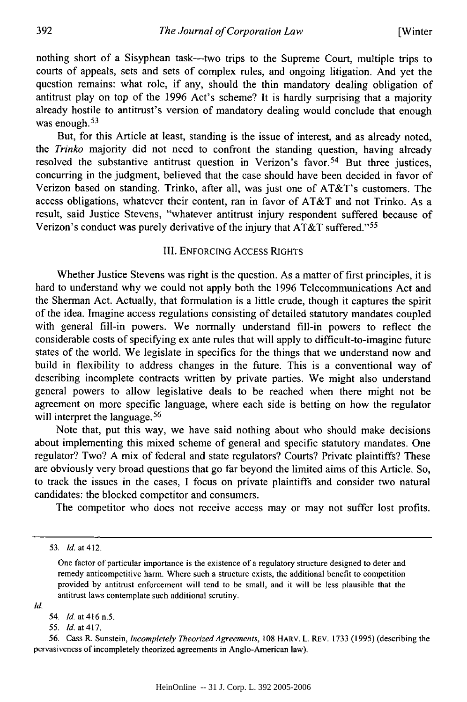nothing short of a Sisyphean task--two trips to the Supreme Court, multiple trips to courts of appeals, sets and sets of complex rules, and ongoing litigation. And yet the question remains: what role, if any, should the thin mandatory dealing obligation of antitrust play on top of the 1996 Act's scheme? It is hardly surprising that a majority already hostile to antitrust's version of mandatory dealing would conclude that enough was enough. <sup>53</sup>

But, for this Article at least, standing is the issue of interest, and as already noted, the *Trinko* majority did not need to confront the standing question, having already resolved the substantive antitrust question in Verizon's favor.<sup>54</sup> But three justices, concurring in the judgment, believed that the case should have been decided in favor of Verizon based on standing. Trinko, after all, was just one of AT&T's customers. The access obligations, whatever their content, ran in favor of AT&T and not Trinko. As a result, said Justice Stevens, "whatever antitrust injury respondent suffered because of Verizon's conduct was purely derivative of the injury that AT&T suffered."<sup>55</sup>

#### III. ENFORCING ACCESS RIGHTS

Whether Justice Stevens was right is the question. As a matter of first principles, it is hard to understand why we could not apply both the 1996 Telecommunications Act and the Sherman Act. Actually, that formulation is a little crude, though it captures the spirit of the idea. Imagine access regulations consisting of detailed statutory mandates coupled with general fill-in powers. We normally understand fill-in powers to reflect the considerable costs of specifying ex ante rules that will apply to difficult-to-imagine future states of the world. We legislate in specifics for the things that we understand now and build in flexibility to address changes in the future. This is a conventional way of describing incomplete contracts written by private parties. We might also understand general powers to allow legislative deals to be reached when there might not be agreement on more specific language, where each side is betting on how the regulator will interpret the language.<sup>56</sup>

Note that, put this way, we have said nothing about who should make decisions about implementing this mixed scheme of general and specific statutory mandates. One regulator? Two? A mix of federal and state regulators? Courts? Private plaintiffs? These are obviously very broad questions that go far beyond the limited aims of this Article. So, to track the issues in the cases, I focus on private plaintiffs and consider two natural candidates: the blocked competitor and consumers.

The competitor who does not receive access may or may not suffer lost profits.

55. Id. at 417.

<sup>53.</sup> *Id.* at 412.

One factor of particular importance is the existence of a regulatory structure designed to deter and remedy anticompetitive harm. Where such a structure exists, the additional benefit to competition provided by antitrust enforcement will tend to be small, and it will be less plausible that the antitrust laws contemplate such additional scrutiny.

*Id.*

<sup>54.</sup> *Id.* at 416 n.5.

<sup>56.</sup> Cass R. Sunstein, *Incompletely Theorized Agreements,* 108 HARV. L. REV. 1733 (1995) (describing the pervasiveness of incompletely theorized agreements in Anglo-American law).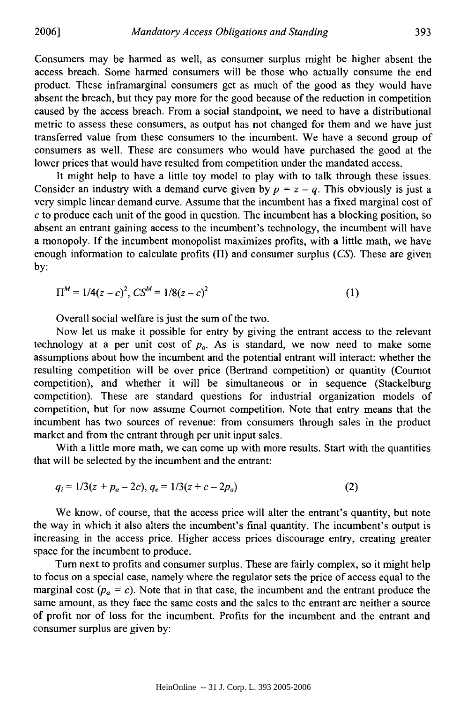Consumers may be harmed as well, as consumer surplus might be higher absent the access breach. Some harmed consumers will be those who actually consume the end product. These inframarginal consumers get as much of the good as they would have absent the breach, but they pay more for the good because of the reduction in competition caused by the access breach. From a social standpoint, we need to have a distributional metric to assess these consumers, as output has not changed for them and we have just transferred value from these consumers to the incumbent. We have a second group of consumers as well. These are consumers who would have purchased the good at the lower prices that would have resulted from competition under the mandated access.

It might help to have a little toy model to play with to talk through these issues. Consider an industry with a demand curve given by  $p = z - q$ . This obviously is just a very simple linear demand curve. Assume that the incumbent has a fixed marginal cost of *c* to produce each unit of the good in question. The incumbent has a blocking position, so absent an entrant gaining access to the incumbent's technology, the incumbent will have a monopoly. If the incumbent monopolist maximizes profits, with a little math, we have enough information to calculate profits (H) and consumer surplus *(CS).* These are given by:

$$
\Pi^M = 1/4(z-c)^2, \, CS^M = 1/8(z-c)^2 \tag{1}
$$

Overall social welfare is just the sum of the two.

Now let us make it possible for entry by giving the entrant access to the relevant technology at a per unit cost of  $p_a$ . As is standard, we now need to make some assumptions about how the incumbent and the potential entrant will interact: whether the resulting competition will be over price (Bertrand competition) or quantity (Coumot competition), and whether it will be simultaneous or in sequence (Stackelburg competition). These are standard questions for industrial organization models of competition, but for now assume Cournot competition. Note that entry means that the incumbent has two sources of revenue: from consumers through sales in the product market and from the entrant through per unit input sales.

With a little more math, we can come up with more results. Start with the quantities that will be selected by the incumbent and the entrant:

$$
q_i = 1/3(z + p_a - 2c), q_e = 1/3(z + c - 2p_a)
$$
 (2)

We know, of course, that the access price will alter the entrant's quantity, but note the way in which it also alters the incumbent's final quantity. The incumbent's output is increasing in the access price. Higher access prices discourage entry, creating greater space for the incumbent to produce.

Turn next to profits and consumer surplus. These are fairly complex, so it might help to focus on a special case, namely where the regulator sets the price of access equal to the marginal cost  $(p_a = c)$ . Note that in that case, the incumbent and the entrant produce the same amount, as they face the same costs and the sales to the entrant are neither a source of profit nor of loss for the incumbent. Profits for the incumbent and the entrant and consumer surplus are given by: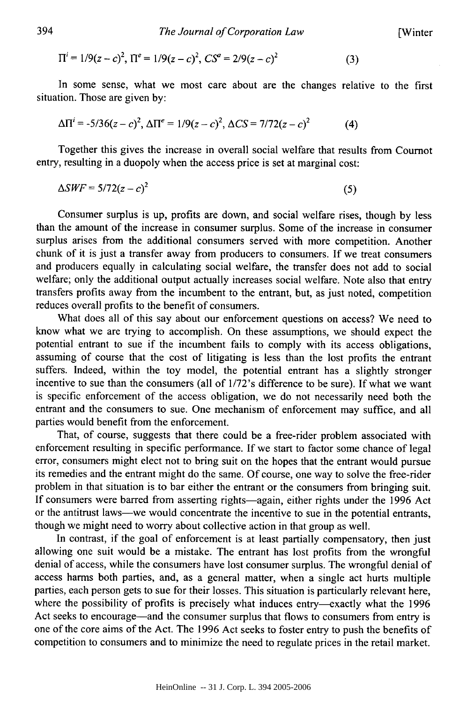[Winter

$$
\Pi^{i} = 1/9(z - c)^{2}, \ \Pi^{e} = 1/9(z - c)^{2}, \ C S^{e} = 2/9(z - c)^{2}
$$
 (3)

In some sense, what we most care about are the changes relative to the first situation. Those are given by:

$$
\Delta \Pi^{i} = -5/36(z-c)^{2}, \, \Delta \Pi^{e} = 1/9(z-c)^{2}, \, \Delta CS = 7/72(z-c)^{2}
$$
 (4)

Together this gives the increase in overall social welfare that results from Cournot entry, resulting in a duopoly when the access price is set at marginal cost:

$$
\Delta SWF = 5/72(z-c)^2 \tag{5}
$$

Consumer surplus is up, profits are down, and social welfare rises, though by less than the amount of the increase in consumer surplus. Some of the increase in consumer surplus arises from the additional consumers served with more competition. Another chunk of it is just a transfer away from producers to consumers. If we treat consumers and producers equally in calculating social welfare, the transfer does not add to social welfare; only the additional output actually increases social welfare. Note also that entry transfers profits away from the incumbent to the entrant, but, as just noted, competition reduces overall profits to the benefit of consumers.

What does all of this say about our enforcement questions on access? We need to know what we are trying to accomplish. On these assumptions, we should expect the potential entrant to sue if the incumbent fails to comply with its access obligations, assuming of course that the cost of litigating is less than the lost profits the entrant suffers. Indeed, within the toy model, the potential entrant has a slightly stronger incentive to sue than the consumers (all of 1/72's difference to be sure). If what we want is specific enforcement of the access obligation, we do not necessarily need both the entrant and the consumers to sue. One mechanism of enforcement may suffice, and all parties would benefit from the enforcement.

That, of course, suggests that there could be a free-rider problem associated with enforcement resulting in specific performance. If we start to factor some chance of legal error, consumers might elect not to bring suit on the hopes that the entrant would pursue its remedies and the entrant might do the same. Of course, one way to solve the free-rider problem in that situation is to bar either the entrant or the consumers from bringing suit. If consumers were barred from asserting rights-again, either rights under the 1996 Act or the antitrust laws-we would concentrate the incentive to sue in the potential entrants, though we might need to worry about collective action in that group as well.

In contrast, if the goal of enforcement is at least partially compensatory, then just allowing one suit would be a mistake. The entrant has lost profits from the wrongful denial of access, while the consumers have lost consumer surplus. The wrongful denial of access harms both parties, and, as a general matter, when a single act hurts multiple parties, each person gets to sue for their losses. This situation is particularly relevant here, where the possibility of profits is precisely what induces entry-exactly what the 1996 Act seeks to encourage-and the consumer surplus that flows to consumers from entry is one of the core aims of the Act. The 1996 Act seeks to foster entry to push the benefits of competition to consumers and to minimize the need to regulate prices in the retail market.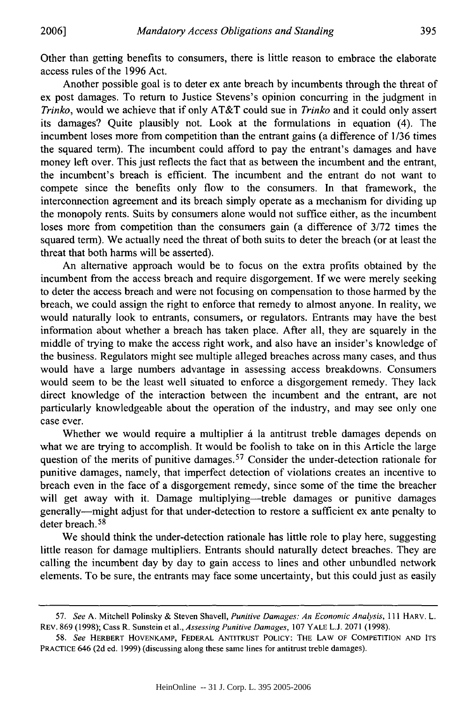Other than getting benefits to consumers, there is little reason to embrace the elaborate access rules of the 1996 Act.

Another possible goal is to deter ex ante breach by incumbents through the threat of ex post damages. To return to Justice Stevens's opinion concurring in the judgment in *Trinko,* would we achieve that if only AT&T could sue in *Trinko* and it could only assert its damages? Quite plausibly not. Look at the formulations in equation (4). The incumbent loses more from competition than the entrant gains (a difference of 1/36 times the squared term). The incumbent could afford to pay the entrant's damages and have money left over. This just reflects the fact that as between the incumbent and the entrant, the incumbent's breach is efficient. The incumbent and the entrant do not want to compete since the benefits only flow to the consumers. In that framework, the interconnection agreement and its breach simply operate as a mechanism for dividing up the monopoly rents. Suits by consumers alone would not suffice either, as the incumbent loses more from competition than the consumers gain (a difference of 3/72 times the squared term). We actually need the threat of both suits to deter the breach (or at least the threat that both harms will be asserted).

An alternative approach would be to focus on the extra profits obtained by the incumbent from the access breach and require disgorgement. If we were merely seeking to deter the access breach and were not focusing on compensation to those harmed by the breach, we could assign the right to enforce that remedy to almost anyone. In reality, we would naturally look to entrants, consumers, or regulators. Entrants may have the best information about whether a breach has taken place. After all, they are squarely in the middle of trying to make the access right work, and also have an insider's knowledge of the business. Regulators might see multiple alleged breaches across many cases, and thus would have a large numbers advantage in assessing access breakdowns. Consumers would seem to be the least well situated to enforce a disgorgement remedy. They lack direct knowledge of the interaction between the incumbent and the entrant, are not particularly knowledgeable about the operation of the industry, and may see only one case ever.

Whether we would require a multiplier *a* la antitrust treble damages depends on what we are trying to accomplish. It would be foolish to take on in this Article the large question of the merits of punitive damages.<sup>57</sup> Consider the under-detection rationale for punitive damages, namely, that imperfect detection of violations creates an incentive to breach even in the face of a disgorgement remedy, since some of the time the breacher will get away with it. Damage multiplying—treble damages or punitive damages generally-might adjust for that under-detection to restore a sufficient ex ante penalty to deter breach. **58**

We should think the under-detection rationale has little role to play here, suggesting little reason for damage multipliers. Entrants should naturally detect breaches. They are calling the incumbent day by day to gain access to lines and other unbundled network elements. To be sure, the entrants may face some uncertainty, but this could just as easily

**<sup>57.</sup>** *See* A. Mitchell Polinsky & Steven Shavell, *Punitive Damages: An Economic Analysis,* **111** HARV. L. REV. **869 (1998);** Cass R. Sunstein et al., *Assessing Punitive Damages,* **107** YALE **L.J. 2071 (1998).**

**<sup>58.</sup>** *See* HERBERT HOVENKAMP, **FEDERAL ANTITRUST** POLICY: **THE** LAW OF **COMPETITION AND ITS** PRACTICE 646 (2d ed. 1999) (discussing along these same lines for antitrust treble damages).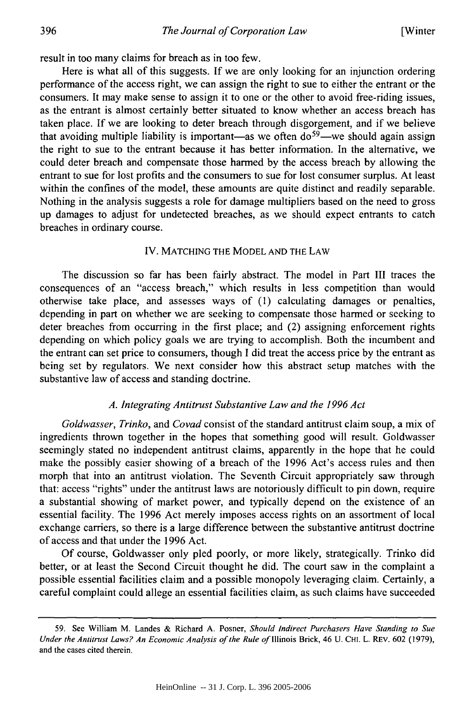result in too many claims for breach as in too few.

Here is what all of this suggests. If we are only looking for an injunction ordering performance of the access right, we can assign the right to sue to either the entrant or the consumers. It may make sense to assign it to one or the other to avoid free-riding issues, as the entrant is almost certainly better situated to know whether an access breach has taken place. If we are looking to deter breach through disgorgement, and if we believe that avoiding multiple liability is important—as we often  $d\sigma^{59}$ —we should again assign the right to sue to the entrant because it has better information. In the alternative, we could deter breach and compensate those harmed by the access breach by allowing the entrant to sue for lost profits and the consumers to sue for lost consumer surplus. At least within the confines of the model, these amounts are quite distinct and readily separable. Nothing in the analysis suggests a role for damage multipliers based on the need to gross up damages to adjust for undetected breaches, as we should expect entrants to catch breaches in ordinary course.

#### IV. MATCHING THE MODEL AND THE LAW

The discussion so far has been fairly abstract. The model in Part III traces the consequences of an "access breach," which results in less competition than would otherwise take place, and assesses ways of (1) calculating damages or penalties, depending in part on whether we are seeking to compensate those harmed or seeking to deter breaches from occurring in the first place; and (2) assigning enforcement rights depending on which policy goals we are trying to accomplish. Both the incumbent and the entrant can set price to consumers, though I did treat the access price by the entrant as being set by regulators. We next consider how this abstract setup matches with the substantive law of access and standing doctrine.

#### *A. Integrating Antitrust Substantive Law and the 1996 Act*

*Goldwasser, Trinko,* and *Covad* consist of the standard antitrust claim soup, a mix of ingredients thrown together in the hopes that something good will result. Goldwasser seemingly stated no independent antitrust claims, apparently in the hope that he could make the possibly easier showing of a breach of the 1996 Act's access rules and then morph that into an antitrust violation. The Seventh Circuit appropriately saw through that: access "rights" under the antitrust laws are notoriously difficult to pin down, require a substantial showing of market power, and typically depend on the existence of an essential facility. The 1996 Act merely imposes access rights on an assortment of local exchange carriers, so there is a large difference between the substantive antitrust doctrine of access and that under the 1996 Act.

Of course, Goldwasser only pled poorly, or more likely, strategically. Trinko did better, or at least the Second Circuit thought he did. The court saw in the complaint a possible essential facilities claim and a possible monopoly leveraging claim. Certainly, a careful complaint could allege an essential facilities claim, as such claims have succeeded

<sup>59.</sup> See William M. Landes & Richard A. Posner, *Should Indirect Purchasers Have Standing to Sue Under the Antitrust Laws? An Economic Analysis of the Rule of* Illinois Brick, 46 U. CHI. L. REv. 602 (1979), and the cases cited therein.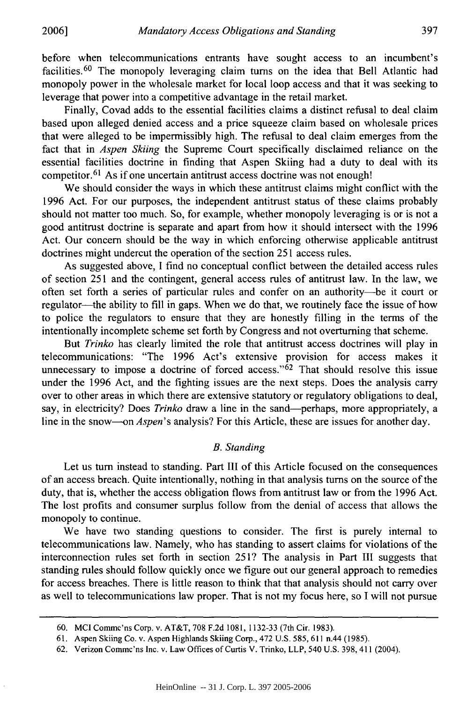before when telecommunications entrants have sought access to an incumbent's facilities. 60 The monopoly leveraging claim turns on the idea that Bell Atlantic had monopoly power in the wholesale market for local loop access and that it was seeking to leverage that power into a competitive advantage in the retail market.

Finally, Covad adds to the essential facilities claims a distinct refusal to deal claim based upon alleged denied access and a price squeeze claim based on wholesale prices that were alleged to be impermissibly high. The refusal to deal claim emerges from the fact that in *Aspen Skiing* the Supreme Court specifically disclaimed reliance on the essential facilities doctrine in finding that Aspen Skiing had a duty to deal with its competitor.  $61$  As if one uncertain antitrust access doctrine was not enough!

We should consider the ways in which these antitrust claims might conflict with the 1996 Act. For our purposes, the independent antitrust status of these claims probably should not matter too much. So, for example, whether monopoly leveraging is or is not a good antitrust doctrine is separate and apart from how it should intersect with the 1996 Act. Our concern should be the way in which enforcing otherwise applicable antitrust doctrines might undercut the operation of the section 251 access rules.

As suggested above, I find no conceptual conflict between the detailed access rules of section 251 and the contingent, general access rules of antitrust law. In the law, we often set forth a series of particular rules and confer on an authority-be it court or regulator-the ability to fill in gaps. When we do that, we routinely face the issue of how to police the regulators to ensure that they are honestly filling in the terms of the intentionally incomplete scheme set forth by Congress and not overturning that scheme.

But *Trinko* has clearly limited the role that antitrust access doctrines will play in telecommunications: "The 1996 Act's extensive provision for access makes it unnecessary to impose a doctrine of forced access."<sup>62</sup> That should resolve this issue under the 1996 Act, and the fighting issues are the next steps. Does the analysis carry over to other areas in which there are extensive statutory or regulatory obligations to deal, say, in electricity? Does *Trinko* draw a line in the sand—perhaps, more appropriately, a line in the snow--on *Aspen's* analysis? For this Article, these are issues for another day.

#### *B. Standing*

Let us turn instead to standing. Part **III** of this Article focused on the consequences of an access breach. Quite intentionally, nothing in that analysis turns on the source of the duty, that is, whether the access obligation flows from antitrust law or from the 1996 Act. The lost profits and consumer surplus follow from the denial of access that allows the monopoly to continue.

We have two standing questions to consider. The first is purely internal to telecommunications law. Namely, who has standing to assert claims for violations of the interconnection rules set forth in section 251? The analysis in Part III suggests that standing rules should follow quickly once we figure out our general approach to remedies for access breaches. There is little reason to think that that analysis should not carry over as well to telecommunications law proper. That is not my focus here, so I will not pursue

<sup>60.</sup> MCI Commc'ns Corp. v. AT&T, 708 F.2d 1081, 1132-33 (7th Cir. 1983).

<sup>61.</sup> Aspen Skiing Co. v. Aspen Highlands Skiing Corp., 472 U.S. 585, 611 n.44 (1985).

<sup>62.</sup> Verizon Commc'ns Inc. v. Law Offices of Curtis V. Trinko, LLP, 540 U.S. 398, 411 (2004).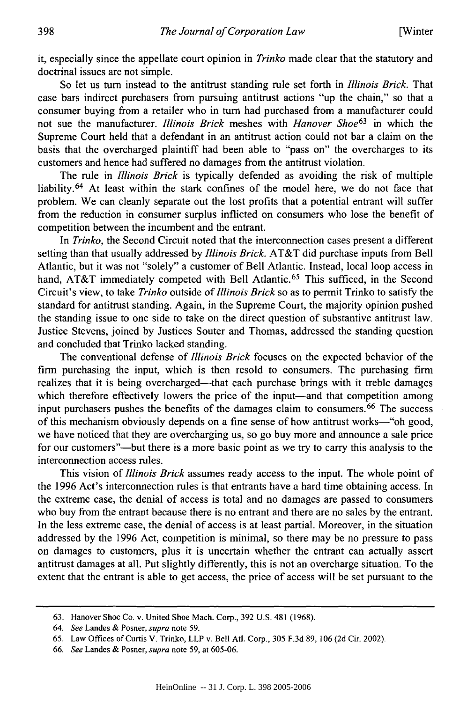it, especially since the appellate court opinion in *Trinko* made clear that the statutory and doctrinal issues are not simple.

So let us turn instead to the antitrust standing rule set forth in *Illinois Brick.* That case bars indirect purchasers from pursuing antitrust actions "up the chain," so that a consumer buying from a retailer who in turn had purchased from a manufacturer could not sue the manufacturer. *Illinois Brick* meshes with *Hanover Shoe*<sup>63</sup> in which the Supreme Court held that a defendant in an antitrust action could not bar a claim on the basis that the overcharged plaintiff had been able to "pass on" the overcharges to its customers and hence had suffered no damages from the antitrust violation.

The rule in *Illinois Brick* is typically defended as avoiding the risk of multiple liability. 64 At least within the stark confines of the model here, we do not face that problem. We can cleanly separate out the lost profits that a potential entrant will suffer from the reduction in consumer surplus inflicted on consumers who lose the benefit of competition between the incumbent and the entrant.

In *Trinko,* the Second Circuit noted that the interconnection cases present a different setting than that usually addressed by *Illinois Brick.* AT&T did purchase inputs from Bell Atlantic, but it was not "solely" a customer of Bell Atlantic. Instead, local loop access in hand, AT&T immediately competed with Bell Atlantic.<sup>65</sup> This sufficed, in the Second Circuit's view, to take *Trinko* outside of *Illinois Brick* so as to permit Trinko to satisfy the standard for antitrust standing. Again, in the Supreme Court, the majority opinion pushed the standing issue to one side to take on the direct question of substantive antitrust law. Justice Stevens, joined by Justices Souter and Thomas, addressed the standing question and concluded that Trinko lacked standing.

The conventional defense of *Illinois Brick* focuses on the expected behavior of the firm purchasing the input, which is then resold to consumers. The purchasing firm realizes that it is being overcharged-that each purchase brings with it treble damages which therefore effectively lowers the price of the input-and that competition among input purchasers pushes the benefits of the damages claim to consumers.<sup>66</sup> The success of this mechanism obviously depends on a fine sense of how antitrust works--"oh good, we have noticed that they are overcharging us, so go buy more and announce a sale price for our customers"-but there is a more basic point as we try to carry this analysis to the interconnection access rules.

This vision of *Illinois Brick* assumes ready access to the input. The whole point of the 1996 Act's interconnection rules is that entrants have a hard time obtaining access. In the extreme case, the denial of access is total and no damages are passed to consumers who buy from the entrant because there is no entrant and there are no sales by the entrant. In the less extreme case, the denial of access is at least partial. Moreover, in the situation addressed by the 1996 Act, competition is minimal, so there may be no pressure to pass on damages to customers, plus it is uncertain whether the entrant can actually assert antitrust damages at all. Put slightly differently, this is not an overcharge situation. To the extent that the entrant is able to get access, the price of access will be set pursuant to the

398

<sup>63.</sup> Hanover Shoe Co. v. United Shoe Mach. Corp., 392 U.S. 481 (1968).

<sup>64.</sup> *See* Landes & Posner, *supra* note 59.

<sup>65.</sup> Law Offices of Curtis V. Trinko, LLP v. Bell Ad. Corp., 305 F.3d 89, 106 (2d Cir. 2002).

<sup>66.</sup> *See* Landes & Posner, *supra* note 59, at 605-06.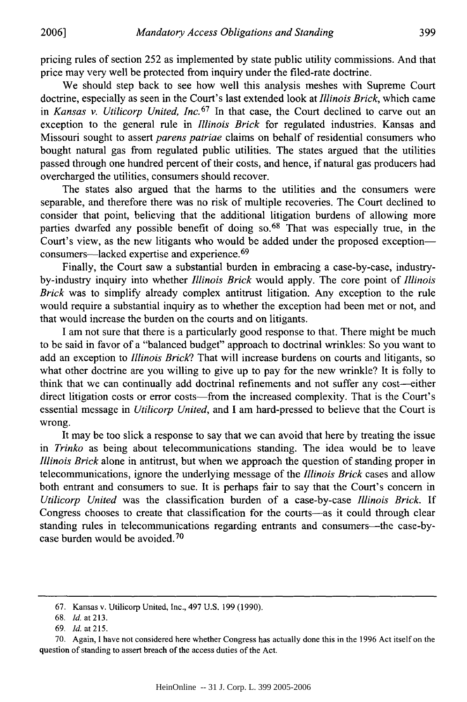pricing rules of section 252 as implemented by state public utility commissions. And that price may very well be protected from inquiry under the filed-rate doctrine.

We should step back to see how well this analysis meshes with Supreme Court doctrine, especially as seen in the Court's last extended look at *Illinois Brick,* which came in *Kansas v. Utilicorp United, Inc.<sup>67</sup>*In that case, the Court declined to carve out an exception to the general rule in *Illinois Brick* for regulated industries. Kansas and Missouri sought to assert *parens patriae* claims on behalf of residential consumers who bought natural gas from regulated public utilities. The states argued that the utilities passed through one hundred percent of their costs, and hence, if natural gas producers had overcharged the utilities, consumers should recover.

The states also argued that the harms to the utilities and the consumers were separable, and therefore there was no risk of multiple recoveries. The Court declined to consider that point, believing that the additional litigation burdens of allowing more parties dwarfed any possible benefit of doing so.<sup>68</sup> That was especially true, in the Court's view, as the new litigants who would be added under the proposed exceptionconsumers-lacked expertise and experience. <sup>69</sup>

Finally, the Court saw a substantial burden in embracing a case-by-case, industryby-industry inquiry into whether *Illinois Brick* would apply. The core point of *Illinois Brick* was to simplify already complex antitrust litigation. Any exception to the rule would require a substantial inquiry as to whether the exception had been met or not, and that would increase the burden on the courts and on litigants.

I am not sure that there is a particularly good response to that. There might be much to be said in favor of a "balanced budget" approach to doctrinal wrinkles: So you want to add an exception to *Illinois Brick?* That will increase burdens on courts and litigants, so what other doctrine are you willing to give up to pay for the new wrinkle? It is folly to think that we can continually add doctrinal refinements and not suffer any cost-either direct litigation costs or error costs—from the increased complexity. That is the Court's essential message in *Utilicorp United,* and I am hard-pressed to believe that the Court is wrong.

It may be too slick a response to say that we can avoid that here by treating the issue in *Trinko* as being about telecommunications standing. The idea would be to leave *Illinois Brick* alone in antitrust, but when we approach the question of standing proper in telecommunications, ignore the underlying message of the *Illinois Brick* cases and allow both entrant and consumers to sue. It is perhaps fair to say that the Court's concern in *Utilicorp United* was the classification burden of a case-by-case *Illinois Brick.* If Congress chooses to create that classification for the courts-as it could through clear standing rules in telecommunications regarding entrants and consumers—the case-bycase burden would be avoided. 70

<sup>67.</sup> Kansas v. Utilicorp United, Inc., 497 U.S. 199 (1990).

<sup>68.</sup> *Id.* at 213.

<sup>69.</sup> *Id.* at 215.

<sup>70.</sup> Again, I have not considered here whether Congress has actually done this in the 1996 Act itself on the question of standing to assert breach of the access duties of the Act.